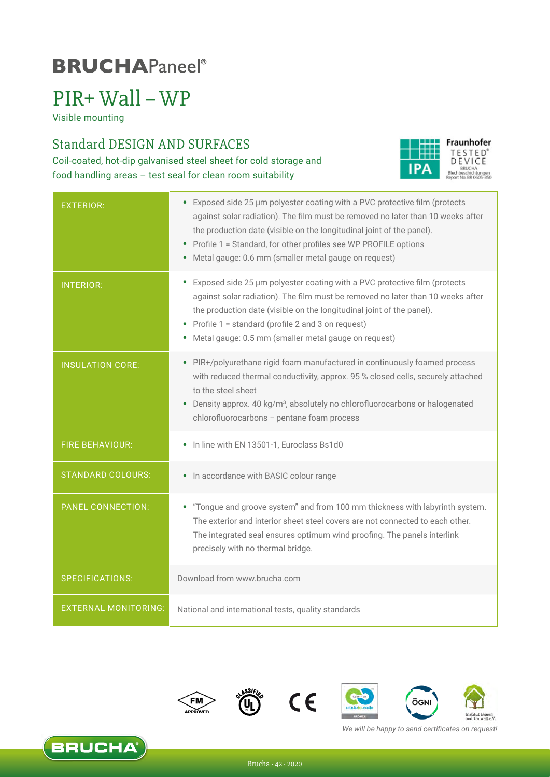# **BRUCHAPaneel®**

# PIR+ Wall −WP

Visible mounting

#### Standard DESIGN AND SURFACES

Coil-coated, hot-dip galvanised steel sheet for cold storage and food handling areas – test seal for clean room suitability



| <b>EXTERIOR:</b>            | • Exposed side 25 µm polyester coating with a PVC protective film (protects<br>against solar radiation). The film must be removed no later than 10 weeks after<br>the production date (visible on the longitudinal joint of the panel).<br>Profile 1 = Standard, for other profiles see WP PROFILE options<br>Metal gauge: 0.6 mm (smaller metal gauge on request) |  |  |  |  |
|-----------------------------|--------------------------------------------------------------------------------------------------------------------------------------------------------------------------------------------------------------------------------------------------------------------------------------------------------------------------------------------------------------------|--|--|--|--|
| <b>INTERIOR:</b>            | • Exposed side 25 µm polyester coating with a PVC protective film (protects<br>against solar radiation). The film must be removed no later than 10 weeks after<br>the production date (visible on the longitudinal joint of the panel).<br>• Profile 1 = standard (profile 2 and 3 on request)<br>Metal gauge: 0.5 mm (smaller metal gauge on request)             |  |  |  |  |
| <b>INSULATION CORE:</b>     | • PIR+/polyurethane rigid foam manufactured in continuously foamed process<br>with reduced thermal conductivity, approx. 95 % closed cells, securely attached<br>to the steel sheet<br>• Density approx. 40 kg/m <sup>3</sup> , absolutely no chlorofluorocarbons or halogenated<br>chlorofluorocarbons - pentane foam process                                     |  |  |  |  |
| FIRE BEHAVIOUR:             | • In line with EN 13501-1, Euroclass Bs1d0                                                                                                                                                                                                                                                                                                                         |  |  |  |  |
| <b>STANDARD COLOURS:</b>    | • In accordance with BASIC colour range                                                                                                                                                                                                                                                                                                                            |  |  |  |  |
| <b>PANEL CONNECTION:</b>    | • "Tongue and groove system" and from 100 mm thickness with labyrinth system.<br>The exterior and interior sheet steel covers are not connected to each other.<br>The integrated seal ensures optimum wind proofing. The panels interlink<br>precisely with no thermal bridge.                                                                                     |  |  |  |  |
| <b>SPECIFICATIONS:</b>      | Download from www.brucha.com                                                                                                                                                                                                                                                                                                                                       |  |  |  |  |
| <b>EXTERNAL MONITORING:</b> | National and international tests, quality standards                                                                                                                                                                                                                                                                                                                |  |  |  |  |









*We will be happy to send certificates on request!*